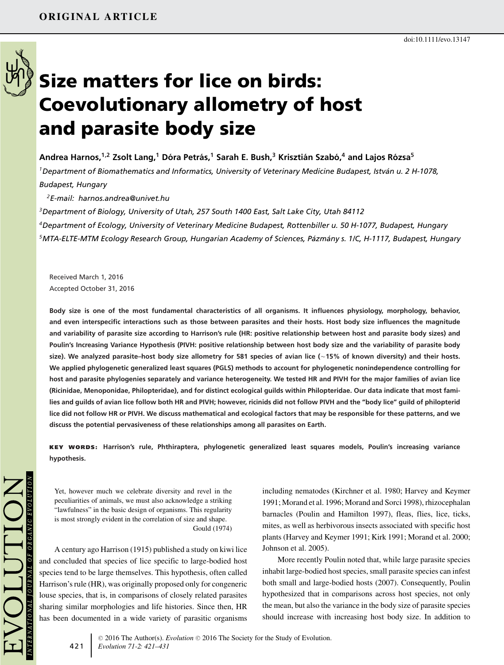

# **Size matters for lice on birds: Coevolutionary allometry of host and parasite body size**

Andrea Harnos,<sup>1,2</sup> Zsolt Lang,<sup>1</sup> Dóra Petrás,<sup>1</sup> Sarah E. Bush,<sup>3</sup> Krisztián Szabó,<sup>4</sup> and Lajos Rózsa<sup>5</sup>

*1Department of Biomathematics and Informatics, University of Veterinary Medicine Budapest, Istvan u. 2 H-1078, ´ Budapest, Hungary*

*2E-mail: harnos.andrea@univet.hu*

*3Department of Biology, University of Utah, 257 South 1400 East, Salt Lake City, Utah 84112*

*4Department of Ecology, University of Veterinary Medicine Budapest, Rottenbiller u. 50 H-1077, Budapest, Hungary 5MTA-ELTE-MTM Ecology Research Group, Hungarian Academy of Sciences, Pazm´ any s. 1/C, H-1117, Budapest, Hungary ´*

Received March 1, 2016 Accepted October 31, 2016

**Body size is one of the most fundamental characteristics of all organisms. It influences physiology, morphology, behavior, and even interspecific interactions such as those between parasites and their hosts. Host body size influences the magnitude and variability of parasite size according to Harrison's rule (HR: positive relationship between host and parasite body sizes) and Poulin's Increasing Variance Hypothesis (PIVH: positive relationship between host body size and the variability of parasite body size). We analyzed parasite–host body size allometry for 581 species of avian lice (**-**15% of known diversity) and their hosts. We applied phylogenetic generalized least squares (PGLS) methods to account for phylogenetic nonindependence controlling for host and parasite phylogenies separately and variance heterogeneity. We tested HR and PIVH for the major families of avian lice (Ricinidae, Menoponidae, Philopteridae), and for distinct ecological guilds within Philopteridae. Our data indicate that most families and guilds of avian lice follow both HR and PIVH; however, ricinids did not follow PIVH and the "body lice" guild of philopterid lice did not follow HR or PIVH. We discuss mathematical and ecological factors that may be responsible for these patterns, and we discuss the potential pervasiveness of these relationships among all parasites on Earth.**

**KEY WORDS: Harrison's rule, Phthiraptera, phylogenetic generalized least squares models, Poulin's increasing variance hypothesis.**

Yet, however much we celebrate diversity and revel in the peculiarities of animals, we must also acknowledge a striking "lawfulness" in the basic design of organisms. This regularity is most strongly evident in the correlation of size and shape. Gould (1974)

A century ago Harrison (1915) published a study on kiwi lice and concluded that species of lice specific to large-bodied host species tend to be large themselves. This hypothesis, often called Harrison's rule (HR), was originally proposed only for congeneric louse species, that is, in comparisons of closely related parasites sharing similar morphologies and life histories. Since then, HR has been documented in a wide variety of parasitic organisms including nematodes (Kirchner et al. 1980; Harvey and Keymer 1991; Morand et al. 1996; Morand and Sorci 1998), rhizocephalan barnacles (Poulin and Hamilton 1997), fleas, flies, lice, ticks, mites, as well as herbivorous insects associated with specific host plants (Harvey and Keymer 1991; Kirk 1991; Morand et al. 2000; Johnson et al. 2005).

More recently Poulin noted that, while large parasite species inhabit large-bodied host species, small parasite species can infest both small and large-bodied hosts (2007). Consequently, Poulin hypothesized that in comparisons across host species, not only the mean, but also the variance in the body size of parasite species should increase with increasing host body size. In addition to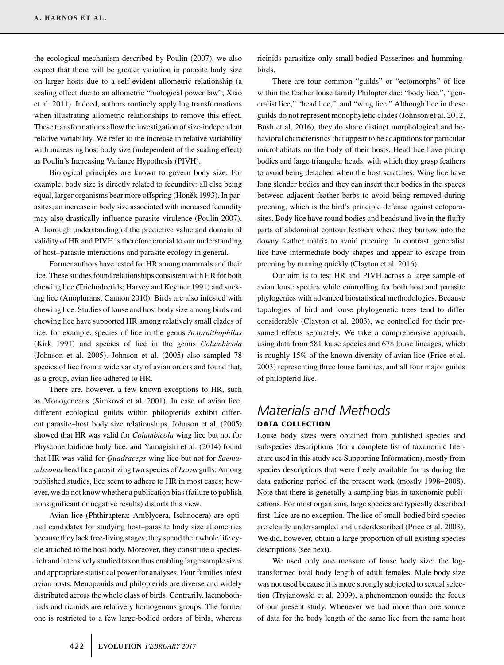the ecological mechanism described by Poulin (2007), we also expect that there will be greater variation in parasite body size on larger hosts due to a self-evident allometric relationship (a scaling effect due to an allometric "biological power law"; Xiao et al. 2011). Indeed, authors routinely apply log transformations when illustrating allometric relationships to remove this effect. These transformations allow the investigation of size-independent relative variability. We refer to the increase in relative variability with increasing host body size (independent of the scaling effect) as Poulin's Increasing Variance Hypothesis (PIVH).

Biological principles are known to govern body size. For example, body size is directly related to fecundity: all else being equal, larger organisms bear more offspring (Honěk 1993). In parasites, an increase in body size associated with increased fecundity may also drastically influence parasite virulence (Poulin 2007). A thorough understanding of the predictive value and domain of validity of HR and PIVH is therefore crucial to our understanding of host–parasite interactions and parasite ecology in general.

Former authors have tested for HR among mammals and their lice. These studies found relationships consistent with HR for both chewing lice (Trichodectids; Harvey and Keymer 1991) and sucking lice (Anoplurans; Cannon 2010). Birds are also infested with chewing lice. Studies of louse and host body size among birds and chewing lice have supported HR among relatively small clades of lice, for example, species of lice in the genus *Actornithophilus* (Kirk 1991) and species of lice in the genus *Columbicola* (Johnson et al. 2005). Johnson et al. (2005) also sampled 78 species of lice from a wide variety of avian orders and found that, as a group, avian lice adhered to HR.

There are, however, a few known exceptions to HR, such as Monogeneans (Simková et al. 2001). In case of avian lice, different ecological guilds within philopterids exhibit different parasite–host body size relationships. Johnson et al. (2005) showed that HR was valid for *Columbicola* wing lice but not for Physconelloidinae body lice, and Yamagishi et al. (2014) found that HR was valid for *Quadraceps* wing lice but not for *Saemundssonia* head lice parasitizing two species of *Larus* gulls. Among published studies, lice seem to adhere to HR in most cases; however, we do not know whether a publication bias (failure to publish nonsignificant or negative results) distorts this view.

Avian lice (Phthiraptera: Amblycera, Ischnocera) are optimal candidates for studying host–parasite body size allometries because they lack free-living stages; they spend their whole life cycle attached to the host body. Moreover, they constitute a speciesrich and intensively studied taxon thus enabling large sample sizes and appropriate statistical power for analyses. Four families infest avian hosts. Menoponids and philopterids are diverse and widely distributed across the whole class of birds. Contrarily, laemobothriids and ricinids are relatively homogenous groups. The former one is restricted to a few large-bodied orders of birds, whereas

ricinids parasitize only small-bodied Passerines and hummingbirds.

There are four common "guilds" or "ectomorphs" of lice within the feather louse family Philopteridae: "body lice,", "generalist lice," "head lice,", and "wing lice." Although lice in these guilds do not represent monophyletic clades (Johnson et al. 2012, Bush et al. 2016), they do share distinct morphological and behavioral characteristics that appear to be adaptations for particular microhabitats on the body of their hosts. Head lice have plump bodies and large triangular heads, with which they grasp feathers to avoid being detached when the host scratches. Wing lice have long slender bodies and they can insert their bodies in the spaces between adjacent feather barbs to avoid being removed during preening, which is the bird's principle defense against ectoparasites. Body lice have round bodies and heads and live in the fluffy parts of abdominal contour feathers where they burrow into the downy feather matrix to avoid preening. In contrast, generalist lice have intermediate body shapes and appear to escape from preening by running quickly (Clayton et al. 2016).

Our aim is to test HR and PIVH across a large sample of avian louse species while controlling for both host and parasite phylogenies with advanced biostatistical methodologies. Because topologies of bird and louse phylogenetic trees tend to differ considerably (Clayton et al. 2003), we controlled for their presumed effects separately. We take a comprehensive approach, using data from 581 louse species and 678 louse lineages, which is roughly 15% of the known diversity of avian lice (Price et al. 2003) representing three louse families, and all four major guilds of philopterid lice.

# *Materials and Methods* **DATA COLLECTION**

Louse body sizes were obtained from published species and subspecies descriptions (for a complete list of taxonomic literature used in this study see Supporting Information), mostly from species descriptions that were freely available for us during the data gathering period of the present work (mostly 1998–2008). Note that there is generally a sampling bias in taxonomic publications. For most organisms, large species are typically described first. Lice are no exception. The lice of small-bodied bird species are clearly undersampled and underdescribed (Price et al. 2003). We did, however, obtain a large proportion of all existing species descriptions (see next).

We used only one measure of louse body size: the logtransformed total body length of adult females. Male body size was not used because it is more strongly subjected to sexual selection (Tryjanowski et al. 2009), a phenomenon outside the focus of our present study. Whenever we had more than one source of data for the body length of the same lice from the same host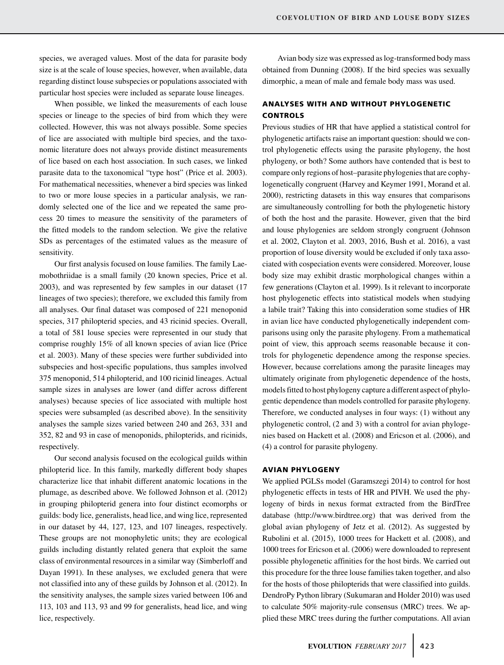species, we averaged values. Most of the data for parasite body size is at the scale of louse species, however, when available, data regarding distinct louse subspecies or populations associated with particular host species were included as separate louse lineages.

When possible, we linked the measurements of each louse species or lineage to the species of bird from which they were collected. However, this was not always possible. Some species of lice are associated with multiple bird species, and the taxonomic literature does not always provide distinct measurements of lice based on each host association. In such cases, we linked parasite data to the taxonomical "type host" (Price et al. 2003). For mathematical necessities, whenever a bird species was linked to two or more louse species in a particular analysis, we randomly selected one of the lice and we repeated the same process 20 times to measure the sensitivity of the parameters of the fitted models to the random selection. We give the relative SDs as percentages of the estimated values as the measure of sensitivity.

Our first analysis focused on louse families. The family Laemobothriidae is a small family (20 known species, Price et al. 2003), and was represented by few samples in our dataset (17 lineages of two species); therefore, we excluded this family from all analyses. Our final dataset was composed of 221 menoponid species, 317 philopterid species, and 43 ricinid species. Overall, a total of 581 louse species were represented in our study that comprise roughly 15% of all known species of avian lice (Price et al. 2003). Many of these species were further subdivided into subspecies and host-specific populations, thus samples involved 375 menoponid, 514 philopterid, and 100 ricinid lineages. Actual sample sizes in analyses are lower (and differ across different analyses) because species of lice associated with multiple host species were subsampled (as described above). In the sensitivity analyses the sample sizes varied between 240 and 263, 331 and 352, 82 and 93 in case of menoponids, philopterids, and ricinids, respectively.

Our second analysis focused on the ecological guilds within philopterid lice. In this family, markedly different body shapes characterize lice that inhabit different anatomic locations in the plumage, as described above. We followed Johnson et al. (2012) in grouping philopterid genera into four distinct ecomorphs or guilds: body lice, generalists, head lice, and wing lice, represented in our dataset by 44, 127, 123, and 107 lineages, respectively. These groups are not monophyletic units; they are ecological guilds including distantly related genera that exploit the same class of environmental resources in a similar way (Simberloff and Dayan 1991). In these analyses, we excluded genera that were not classified into any of these guilds by Johnson et al. (2012). In the sensitivity analyses, the sample sizes varied between 106 and 113, 103 and 113, 93 and 99 for generalists, head lice, and wing lice, respectively.

Avian body size was expressed as log-transformed body mass obtained from Dunning (2008). If the bird species was sexually dimorphic, a mean of male and female body mass was used.

# **ANALYSES WITH AND WITHOUT PHYLOGENETIC CONTROLS**

Previous studies of HR that have applied a statistical control for phylogenetic artifacts raise an important question: should we control phylogenetic effects using the parasite phylogeny, the host phylogeny, or both? Some authors have contended that is best to compare only regions of host–parasite phylogenies that are cophylogenetically congruent (Harvey and Keymer 1991, Morand et al. 2000), restricting datasets in this way ensures that comparisons are simultaneously controlling for both the phylogenetic history of both the host and the parasite. However, given that the bird and louse phylogenies are seldom strongly congruent (Johnson et al. 2002, Clayton et al. 2003, 2016, Bush et al. 2016), a vast proportion of louse diversity would be excluded if only taxa associated with cospeciation events were considered. Moreover, louse body size may exhibit drastic morphological changes within a few generations (Clayton et al. 1999). Is it relevant to incorporate host phylogenetic effects into statistical models when studying a labile trait? Taking this into consideration some studies of HR in avian lice have conducted phylogenetically independent comparisons using only the parasite phylogeny. From a mathematical point of view, this approach seems reasonable because it controls for phylogenetic dependence among the response species. However, because correlations among the parasite lineages may ultimately originate from phylogenetic dependence of the hosts, models fitted to host phylogeny capture a different aspect of phylogentic dependence than models controlled for parasite phylogeny. Therefore, we conducted analyses in four ways: (1) without any phylogenetic control, (2 and 3) with a control for avian phylogenies based on Hackett et al. (2008) and Ericson et al. (2006), and (4) a control for parasite phylogeny.

#### **AVIAN PHYLOGENY**

We applied PGLSs model (Garamszegi 2014) to control for host phylogenetic effects in tests of HR and PIVH. We used the phylogeny of birds in nexus format extracted from the BirdTree database [\(http://www.birdtree.org\)](http://www.birdtree.org) that was derived from the global avian phylogeny of Jetz et al. (2012). As suggested by Rubolini et al. (2015), 1000 trees for Hackett et al. (2008), and 1000 trees for Ericson et al. (2006) were downloaded to represent possible phylogenetic affinities for the host birds. We carried out this procedure for the three louse families taken together, and also for the hosts of those philopterids that were classified into guilds. DendroPy Python library (Sukumaran and Holder 2010) was used to calculate 50% majority-rule consensus (MRC) trees. We applied these MRC trees during the further computations. All avian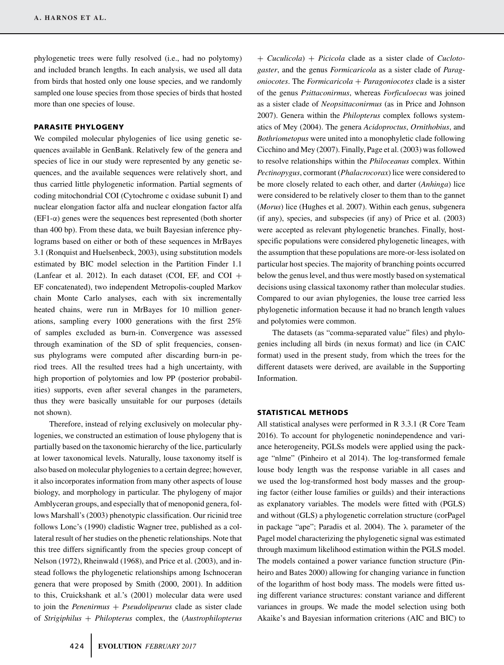phylogenetic trees were fully resolved (i.e., had no polytomy) and included branch lengths. In each analysis, we used all data from birds that hosted only one louse species, and we randomly sampled one louse species from those species of birds that hosted more than one species of louse.

## **PARASITE PHYLOGENY**

We compiled molecular phylogenies of lice using genetic sequences available in GenBank. Relatively few of the genera and species of lice in our study were represented by any genetic sequences, and the available sequences were relatively short, and thus carried little phylogenetic information. Partial segments of coding mitochondrial COI (Cytochrome c oxidase subunit I) and nuclear elongation factor alfa and nuclear elongation factor alfa (EF1-α) genes were the sequences best represented (both shorter than 400 bp). From these data, we built Bayesian inference phylograms based on either or both of these sequences in MrBayes 3.1 (Ronquist and Huelsenbeck, 2003), using substitution models estimated by BIC model selection in the Partition Finder 1.1 (Lanfear et al. 2012). In each dataset (COI, EF, and COI + EF concatenated), two independent Metropolis-coupled Markov chain Monte Carlo analyses, each with six incrementally heated chains, were run in MrBayes for 10 million generations, sampling every 1000 generations with the first 25% of samples excluded as burn-in. Convergence was assessed through examination of the SD of split frequencies, consensus phylograms were computed after discarding burn-in period trees. All the resulted trees had a high uncertainty, with high proportion of polytomies and low PP (posterior probabilities) supports, even after several changes in the parameters, thus they were basically unsuitable for our purposes (details not shown).

Therefore, instead of relying exclusively on molecular phylogenies, we constructed an estimation of louse phylogeny that is partially based on the taxonomic hierarchy of the lice, particularly at lower taxonomical levels. Naturally, louse taxonomy itself is also based on molecular phylogenies to a certain degree; however, it also incorporates information from many other aspects of louse biology, and morphology in particular. The phylogeny of major Amblyceran groups, and especially that of menoponid genera, follows Marshall's (2003) phenotypic classification. Our ricinid tree follows Lonc's (1990) cladistic Wagner tree, published as a collateral result of her studies on the phenetic relationships. Note that this tree differs significantly from the species group concept of Nelson (1972), Rheinwald (1968), and Price et al. (2003), and instead follows the phylogenetic relationships among Ischnoceran genera that were proposed by Smith (2000, 2001). In addition to this, Cruickshank et al.'s (2001) molecular data were used to join the *Penenirmus* + *Pseudolipeurus* clade as sister clade of *Strigiphilus* + *Philopterus* complex, the (*Austrophilopterus*

*oniocotes*. The *Formicaricola* + *Paragoniocotes* clade is a sister of the genus *Psittaconirmus*, whereas *Forficuloecus* was joined as a sister clade of *Neopsittaconirmus* (as in Price and Johnson 2007). Genera within the *Philopterus* complex follows systematics of Mey (2004). The genera *Acidoproctus*, *Ornithobius*, and *Bothriometopus* were united into a monophyletic clade following Cicchino and Mey (2007). Finally, Page et al. (2003) was followed to resolve relationships within the *Philoceanus* complex. Within *Pectinopygus*, cormorant (*Phalacrocorax*) lice were considered to be more closely related to each other, and darter (*Anhinga*) lice were considered to be relatively closer to them than to the gannet (*Morus*) lice (Hughes et al. 2007). Within each genus, subgenera (if any), species, and subspecies (if any) of Price et al. (2003) were accepted as relevant phylogenetic branches. Finally, hostspecific populations were considered phylogenetic lineages, with the assumption that these populations are more-or-less isolated on particular host species. The majority of branching points occurred below the genus level, and thus were mostly based on systematical decisions using classical taxonomy rather than molecular studies. Compared to our avian phylogenies, the louse tree carried less phylogenetic information because it had no branch length values and polytomies were common.

+ *Cuculicola*) + *Picicola* clade as a sister clade of *Cuclotogaster*, and the genus *Formicaricola* as a sister clade of *Parag-*

The datasets (as "comma-separated value" files) and phylogenies including all birds (in nexus format) and lice (in CAIC format) used in the present study, from which the trees for the different datasets were derived, are available in the Supporting Information.

#### **STATISTICAL METHODS**

All statistical analyses were performed in R 3.3.1 (R Core Team 2016). To account for phylogenetic nonindependence and variance heterogeneity, PGLSs models were applied using the package "nlme" (Pinheiro et al 2014). The log-transformed female louse body length was the response variable in all cases and we used the log-transformed host body masses and the grouping factor (either louse families or guilds) and their interactions as explanatory variables. The models were fitted with (PGLS) and without (GLS) a phylogenetic correlation structure (corPagel in package "ape"; Paradis et al. 2004). The  $\lambda$  parameter of the Pagel model characterizing the phylogenetic signal was estimated through maximum likelihood estimation within the PGLS model. The models contained a power variance function structure (Pinheiro and Bates 2000) allowing for changing variance in function of the logarithm of host body mass. The models were fitted using different variance structures: constant variance and different variances in groups. We made the model selection using both Akaike's and Bayesian information criterions (AIC and BIC) to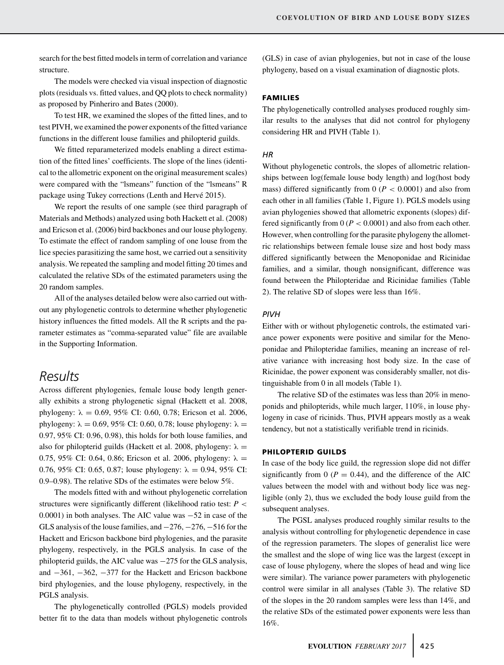search for the best fitted models in term of correlation and variance structure.

The models were checked via visual inspection of diagnostic plots (residuals vs. fitted values, and QQ plots to check normality) as proposed by Pinheriro and Bates (2000).

To test HR, we examined the slopes of the fitted lines, and to test PIVH, we examined the power exponents of the fitted variance functions in the different louse families and philopterid guilds.

We fitted reparameterized models enabling a direct estimation of the fitted lines' coefficients. The slope of the lines (identical to the allometric exponent on the original measurement scales) were compared with the "lsmeans" function of the "lsmeans" R package using Tukey corrections (Lenth and Hervé 2015).

We report the results of one sample (see third paragraph of Materials and Methods) analyzed using both Hackett et al. (2008) and Ericson et al. (2006) bird backbones and our louse phylogeny. To estimate the effect of random sampling of one louse from the lice species parasitizing the same host, we carried out a sensitivity analysis. We repeated the sampling and model fitting 20 times and calculated the relative SDs of the estimated parameters using the 20 random samples.

All of the analyses detailed below were also carried out without any phylogenetic controls to determine whether phylogenetic history influences the fitted models. All the R scripts and the parameter estimates as "comma-separated value" file are available in the Supporting Information.

# *Results*

Across different phylogenies, female louse body length generally exhibits a strong phylogenetic signal (Hackett et al. 2008, phylogeny:  $\lambda = 0.69, 95\%$  CI: 0.60, 0.78; Ericson et al. 2006, phylogeny:  $\lambda = 0.69, 95\%$  CI: 0.60, 0.78; louse phylogeny:  $\lambda =$ 0.97, 95% CI: 0.96, 0.98), this holds for both louse families, and also for philopterid guilds (Hackett et al. 2008, phylogeny:  $\lambda =$ 0.75, 95% CI: 0.64, 0.86; Ericson et al. 2006, phylogeny:  $\lambda =$ 0.76, 95% CI: 0.65, 0.87; louse phylogeny:  $\lambda = 0.94$ , 95% CI: 0.9–0.98). The relative SDs of the estimates were below 5%.

The models fitted with and without phylogenetic correlation structures were significantly different (likelihood ratio test: *P <* 0.0001) in both analyses. The AIC value was −52 in case of the GLS analysis of the louse families, and −276, −276, −516 for the Hackett and Ericson backbone bird phylogenies, and the parasite phylogeny, respectively, in the PGLS analysis. In case of the philopterid guilds, the AIC value was −275 for the GLS analysis, and −361, −362, −377 for the Hackett and Ericson backbone bird phylogenies, and the louse phylogeny, respectively, in the PGLS analysis.

The phylogenetically controlled (PGLS) models provided better fit to the data than models without phylogenetic controls (GLS) in case of avian phylogenies, but not in case of the louse phylogeny, based on a visual examination of diagnostic plots.

# **FAMILIES**

The phylogenetically controlled analyses produced roughly similar results to the analyses that did not control for phylogeny considering HR and PIVH (Table 1).

## *HR*

Without phylogenetic controls, the slopes of allometric relationships between log(female louse body length) and log(host body mass) differed significantly from  $0 (P < 0.0001)$  and also from each other in all families (Table 1, Figure 1). PGLS models using avian phylogenies showed that allometric exponents (slopes) differed significantly from  $0 (P < 0.0001)$  and also from each other. However, when controlling for the parasite phylogeny the allometric relationships between female louse size and host body mass differed significantly between the Menoponidae and Ricinidae families, and a similar, though nonsignificant, difference was found between the Philopteridae and Ricinidae families (Table 2). The relative SD of slopes were less than 16%.

#### *PIVH*

Either with or without phylogenetic controls, the estimated variance power exponents were positive and similar for the Menoponidae and Philopteridae families, meaning an increase of relative variance with increasing host body size. In the case of Ricinidae, the power exponent was considerably smaller, not distinguishable from 0 in all models (Table 1).

The relative SD of the estimates was less than 20% in menoponids and philopterids, while much larger, 110%, in louse phylogeny in case of ricinids. Thus, PIVH appears mostly as a weak tendency, but not a statistically verifiable trend in ricinids.

## **PHILOPTERID GUILDS**

In case of the body lice guild, the regression slope did not differ significantly from 0 ( $P = 0.44$ ), and the difference of the AIC values between the model with and without body lice was negligible (only 2), thus we excluded the body louse guild from the subsequent analyses.

The PGSL analyses produced roughly similar results to the analysis without controlling for phylogenetic dependence in case of the regression parameters. The slopes of generalist lice were the smallest and the slope of wing lice was the largest (except in case of louse phylogeny, where the slopes of head and wing lice were similar). The variance power parameters with phylogenetic control were similar in all analyses (Table 3). The relative SD of the slopes in the 20 random samples were less than 14%, and the relative SDs of the estimated power exponents were less than 16%.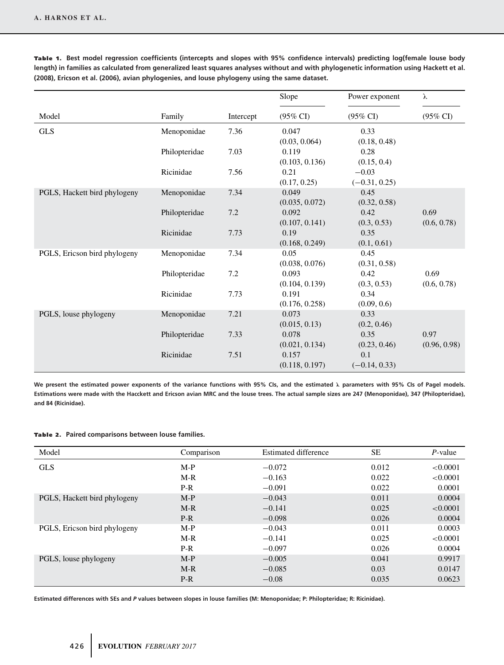|                              |               |           | Slope               | Power exponent      | λ                   |
|------------------------------|---------------|-----------|---------------------|---------------------|---------------------|
| Model                        | Family        | Intercept | $(95\% \text{ CI})$ | $(95\% \text{ CI})$ | $(95\% \text{ CI})$ |
| <b>GLS</b>                   | Menoponidae   | 7.36      | 0.047               | 0.33                |                     |
|                              |               |           | (0.03, 0.064)       | (0.18, 0.48)        |                     |
|                              | Philopteridae | 7.03      | 0.119               | 0.28                |                     |
|                              |               |           | (0.103, 0.136)      | (0.15, 0.4)         |                     |
|                              | Ricinidae     | 7.56      | 0.21                | $-0.03$             |                     |
|                              |               |           | (0.17, 0.25)        | $(-0.31, 0.25)$     |                     |
| PGLS, Hackett bird phylogeny | Menoponidae   | 7.34      | 0.049               | 0.45                |                     |
|                              |               |           | (0.035, 0.072)      | (0.32, 0.58)        |                     |
|                              | Philopteridae | 7.2       | 0.092               | 0.42                | 0.69                |
|                              |               |           | (0.107, 0.141)      | (0.3, 0.53)         | (0.6, 0.78)         |
|                              | Ricinidae     | 7.73      | 0.19                | 0.35                |                     |
|                              |               |           | (0.168, 0.249)      | (0.1, 0.61)         |                     |
| PGLS, Ericson bird phylogeny | Menoponidae   | 7.34      | 0.05                | 0.45                |                     |
|                              |               |           | (0.038, 0.076)      | (0.31, 0.58)        |                     |
|                              | Philopteridae | 7.2       | 0.093               | 0.42                | 0.69                |
|                              |               |           | (0.104, 0.139)      | (0.3, 0.53)         | (0.6, 0.78)         |
|                              | Ricinidae     | 7.73      | 0.191               | 0.34                |                     |
|                              |               |           | (0.176, 0.258)      | (0.09, 0.6)         |                     |
| PGLS, louse phylogeny        | Menoponidae   | 7.21      | 0.073               | 0.33                |                     |
|                              |               |           | (0.015, 0.13)       | (0.2, 0.46)         |                     |
|                              | Philopteridae | 7.33      | 0.078               | 0.35                | 0.97                |
|                              |               |           | (0.021, 0.134)      | (0.23, 0.46)        | (0.96, 0.98)        |
|                              | Ricinidae     | 7.51      | 0.157               | 0.1                 |                     |
|                              |               |           | (0.118, 0.197)      | $(-0.14, 0.33)$     |                     |

**Tab le 1 . Best model regression coefficients (intercepts and slopes with 95% confidence intervals) predicting log(female louse body length) in families as calculated from generalized least squares analyses without and with phylogenetic information using Hackett et al. (2008), Ericson et al. (2006), avian phylogenies, and louse phylogeny using the same dataset.**

**We present the estimated power exponents of the variance functions with 95% CIs, and the estimated λ parameters with 95% CIs of Pagel models. Estimations were made with the Hacckett and Ericson avian MRC and the louse trees. The actual sample sizes are 247 (Menoponidae), 347 (Philopteridae), and 84 (Ricinidae).**

#### **Table 2.** Paired comparisons between louse families.

| Model                        | Comparison | <b>Estimated difference</b> | <b>SE</b> | $P$ -value |
|------------------------------|------------|-----------------------------|-----------|------------|
| <b>GLS</b>                   | $M-P$      | $-0.072$                    | 0.012     | < 0.0001   |
|                              | $M-R$      | $-0.163$                    | 0.022     | < 0.0001   |
|                              | $P-R$      | $-0.091$                    | 0.022     | 0.0001     |
| PGLS, Hackett bird phylogeny | $M-P$      | $-0.043$                    | 0.011     | 0.0004     |
|                              | $M-R$      | $-0.141$                    | 0.025     | < 0.0001   |
|                              | $P-R$      | $-0.098$                    | 0.026     | 0.0004     |
| PGLS, Ericson bird phylogeny | $M-P$      | $-0.043$                    | 0.011     | 0.0003     |
|                              | $M-R$      | $-0.141$                    | 0.025     | < 0.0001   |
|                              | $P-R$      | $-0.097$                    | 0.026     | 0.0004     |
| PGLS, louse phylogeny        | $M-P$      | $-0.005$                    | 0.041     | 0.9917     |
|                              | $M-R$      | $-0.085$                    | 0.03      | 0.0147     |
|                              | $P-R$      | $-0.08$                     | 0.035     | 0.0623     |

**Estimated differences with SEs and** *P* **values between slopes in louse families (M: Menoponidae; P: Philopteridae; R: Ricinidae).**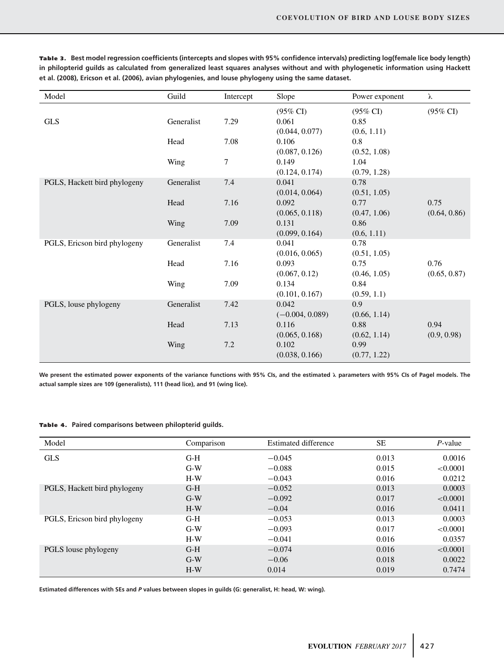| Model                        | Guild      | Intercept        | Slope               | Power exponent      | λ                   |
|------------------------------|------------|------------------|---------------------|---------------------|---------------------|
|                              |            |                  | $(95\% \text{ CI})$ | $(95\% \text{ CI})$ | $(95\% \text{ CI})$ |
| <b>GLS</b>                   | Generalist | 7.29             | 0.061               | 0.85                |                     |
|                              |            |                  | (0.044, 0.077)      | (0.6, 1.11)         |                     |
|                              | Head       | 7.08             | 0.106               | 0.8                 |                     |
|                              |            |                  | (0.087, 0.126)      | (0.52, 1.08)        |                     |
|                              | Wing       | $\boldsymbol{7}$ | 0.149               | 1.04                |                     |
|                              |            |                  | (0.124, 0.174)      | (0.79, 1.28)        |                     |
| PGLS, Hackett bird phylogeny | Generalist | 7.4              | 0.041               | 0.78                |                     |
|                              |            |                  | (0.014, 0.064)      | (0.51, 1.05)        |                     |
|                              | Head       | 7.16             | 0.092               | 0.77                | 0.75                |
|                              |            |                  | (0.065, 0.118)      | (0.47, 1.06)        | (0.64, 0.86)        |
|                              | Wing       | 7.09             | 0.131               | 0.86                |                     |
|                              |            |                  | (0.099, 0.164)      | (0.6, 1.11)         |                     |
| PGLS, Ericson bird phylogeny | Generalist | 7.4              | 0.041               | 0.78                |                     |
|                              |            |                  | (0.016, 0.065)      | (0.51, 1.05)        |                     |
|                              | Head       | 7.16             | 0.093               | 0.75                | 0.76                |
|                              |            |                  | (0.067, 0.12)       | (0.46, 1.05)        | (0.65, 0.87)        |
|                              | Wing       | 7.09             | 0.134               | 0.84                |                     |
|                              |            |                  | (0.101, 0.167)      | (0.59, 1.1)         |                     |
| PGLS, louse phylogeny        | Generalist | 7.42             | 0.042               | 0.9                 |                     |
|                              |            |                  | $(-0.004, 0.089)$   | (0.66, 1.14)        |                     |
|                              | Head       | 7.13             | 0.116               | 0.88                | 0.94                |
|                              |            |                  | (0.065, 0.168)      | (0.62, 1.14)        | (0.9, 0.98)         |
|                              | Wing       | 7.2              | 0.102               | 0.99                |                     |
|                              |            |                  | (0.038, 0.166)      | (0.77, 1.22)        |                     |

**Tab le 3 . Best model regression coefficients (intercepts and slopes with 95% confidence intervals) predicting log(female lice body length) in philopterid guilds as calculated from generalized least squares analyses without and with phylogenetic information using Hackett et al. (2008), Ericson et al. (2006), avian phylogenies, and louse phylogeny using the same dataset.**

**We present the estimated power exponents of the variance functions with 95% CIs, and the estimated λ parameters with 95% CIs of Pagel models. The actual sample sizes are 109 (generalists), 111 (head lice), and 91 (wing lice).**

**Tab le 4. Paired comparisons between philopterid guilds.**

| Model                        | Comparison | <b>Estimated difference</b> | <b>SE</b> | $P$ -value |
|------------------------------|------------|-----------------------------|-----------|------------|
| <b>GLS</b>                   | $G-H$      | $-0.045$                    | 0.013     | 0.0016     |
|                              | $G-W$      | $-0.088$                    | 0.015     | < 0.0001   |
|                              | $H-W$      | $-0.043$                    | 0.016     | 0.0212     |
| PGLS, Hackett bird phylogeny | $G-H$      | $-0.052$                    | 0.013     | 0.0003     |
|                              | $G-W$      | $-0.092$                    | 0.017     | < 0.0001   |
|                              | $H-W$      | $-0.04$                     | 0.016     | 0.0411     |
| PGLS, Ericson bird phylogeny | $G-H$      | $-0.053$                    | 0.013     | 0.0003     |
|                              | $G-W$      | $-0.093$                    | 0.017     | < 0.0001   |
|                              | $H-W$      | $-0.041$                    | 0.016     | 0.0357     |
| PGLS louse phylogeny         | $G-H$      | $-0.074$                    | 0.016     | < 0.0001   |
|                              | $G-W$      | $-0.06$                     | 0.018     | 0.0022     |
|                              | $H-W$      | 0.014                       | 0.019     | 0.7474     |

**Estimated differences with SEs and** *P* **values between slopes in guilds (G: generalist, H: head, W: wing).**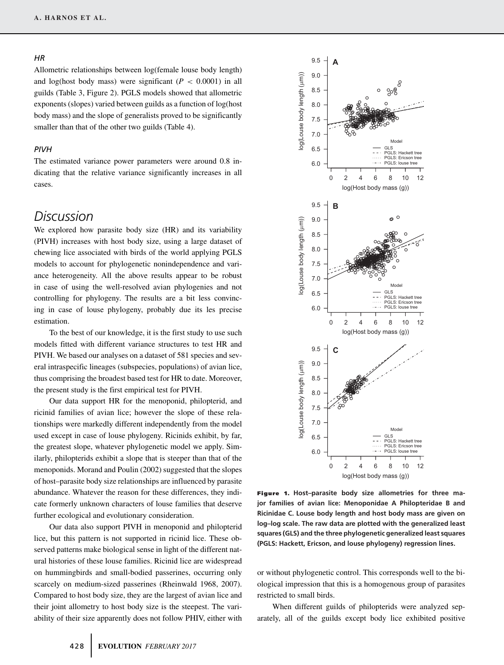#### *HR*

Allometric relationships between log(female louse body length) and log(host body mass) were significant  $(P < 0.0001)$  in all guilds (Table 3, Figure 2). PGLS models showed that allometric exponents (slopes) varied between guilds as a function of log(host body mass) and the slope of generalists proved to be significantly smaller than that of the other two guilds (Table 4).

# *PIVH*

The estimated variance power parameters were around 0.8 indicating that the relative variance significantly increases in all cases.

# *Discussion*

We explored how parasite body size (HR) and its variability (PIVH) increases with host body size, using a large dataset of chewing lice associated with birds of the world applying PGLS models to account for phylogenetic nonindependence and variance heterogeneity. All the above results appear to be robust in case of using the well-resolved avian phylogenies and not controlling for phylogeny. The results are a bit less convincing in case of louse phylogeny, probably due its les precise estimation.

To the best of our knowledge, it is the first study to use such models fitted with different variance structures to test HR and PIVH. We based our analyses on a dataset of 581 species and several intraspecific lineages (subspecies, populations) of avian lice, thus comprising the broadest based test for HR to date. Moreover, the present study is the first empirical test for PIVH.

Our data support HR for the menoponid, philopterid, and ricinid families of avian lice; however the slope of these relationships were markedly different independently from the model used except in case of louse phylogeny. Ricinids exhibit, by far, the greatest slope, whatever phylogenetic model we apply. Similarly, philopterids exhibit a slope that is steeper than that of the menoponids. Morand and Poulin (2002) suggested that the slopes of host–parasite body size relationships are influenced by parasite abundance. Whatever the reason for these differences, they indicate formerly unknown characters of louse families that deserve further ecological and evolutionary consideration.

Our data also support PIVH in menoponid and philopterid lice, but this pattern is not supported in ricinid lice. These observed patterns make biological sense in light of the different natural histories of these louse families. Ricinid lice are widespread on hummingbirds and small-bodied passerines, occurring only scarcely on medium-sized passerines (Rheinwald 1968, 2007). Compared to host body size, they are the largest of avian lice and their joint allometry to host body size is the steepest. The variability of their size apparently does not follow PHIV, either with



**Figure 1. Host–parasite body size allometries for three major families of avian lice: Menoponidae A Philopteridae B and Ricinidae C. Louse body length and host body mass are given on log–log scale. The raw data are plotted with the generalized least squares (GLS) and the three phylogenetic generalized least squares (PGLS: Hackett, Ericson, and louse phylogeny) regression lines.**

or without phylogenetic control. This corresponds well to the biological impression that this is a homogenous group of parasites restricted to small birds.

When different guilds of philopterids were analyzed separately, all of the guilds except body lice exhibited positive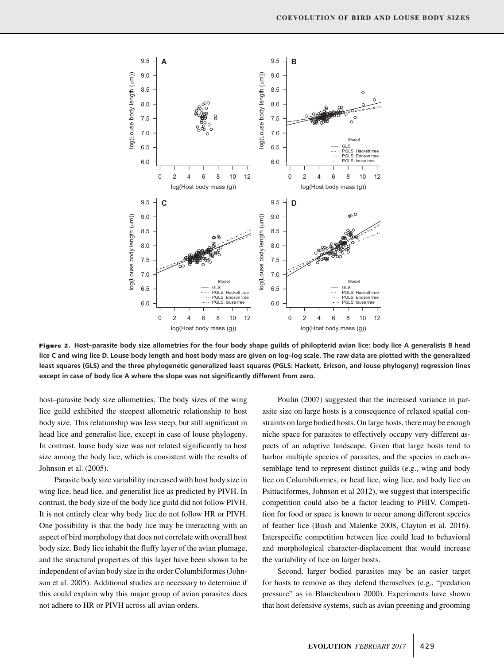

**Figure 2. Host–parasite body size allometries for the four body shape guilds of philopterid avian lice: body lice A generalists B head lice C and wing lice D. Louse body length and host body mass are given on log–log scale. The raw data are plotted with the generalized least squares (GLS) and the three phylogenetic generalized least squares (PGLS: Hackett, Ericson, and louse phylogeny) regression lines except in case of body lice A where the slope was not significantly different from zero.**

host–parasite body size allometries. The body sizes of the wing lice guild exhibited the steepest allometric relationship to host body size. This relationship was less steep, but still significant in head lice and generalist lice, except in case of louse phylogeny. In contrast, louse body size was not related significantly to host size among the body lice, which is consistent with the results of Johnson et al. (2005).

Parasite body size variability increased with host body size in wing lice, head lice, and generalist lice as predicted by PIVH. In contrast, the body size of the body lice guild did not follow PIVH. It is not entirely clear why body lice do not follow HR or PIVH. One possibility is that the body lice may be interacting with an aspect of bird morphology that does not correlate with overall host body size. Body lice inhabit the fluffy layer of the avian plumage, and the structural properties of this layer have been shown to be independent of avian body size in the order Columbiformes (Johnson et al. 2005). Additional studies are necessary to determine if this could explain why this major group of avian parasites does not adhere to HR or PIVH across all avian orders.

Poulin (2007) suggested that the increased variance in parasite size on large hosts is a consequence of relaxed spatial constraints on large bodied hosts. On large hosts, there may be enough niche space for parasites to effectively occupy very different aspects of an adaptive landscape. Given that large hosts tend to harbor multiple species of parasites, and the species in each assemblage tend to represent distinct guilds (e.g., wing and body lice on Columbiformes, or head lice, wing lice, and body lice on Psittaciformes, Johnson et al 2012), we suggest that interspecific competition could also be a factor leading to PHIV. Competition for food or space is known to occur among different species of feather lice (Bush and Malenke 2008, Clayton et al. 2016). Interspecific competition between lice could lead to behavioral and morphological character-displacement that would increase the variability of lice on larger hosts.

Second, larger bodied parasites may be an easier target for hosts to remove as they defend themselves (e.g., "predation pressure" as in Blanckenhorn 2000). Experiments have shown that host defensive systems, such as avian preening and grooming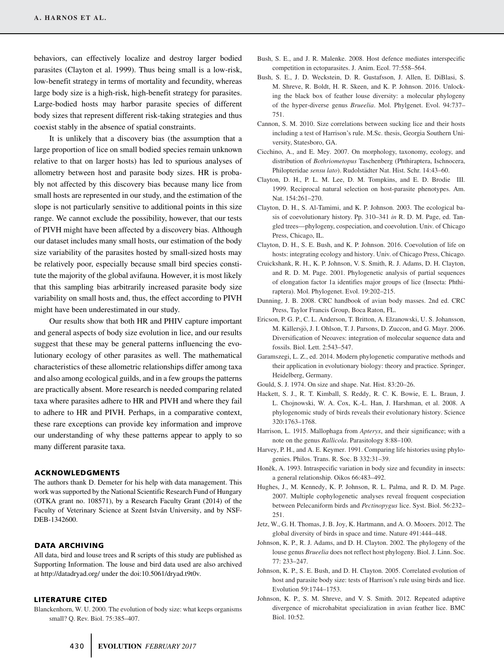behaviors, can effectively localize and destroy larger bodied parasites (Clayton et al. 1999). Thus being small is a low-risk, low-benefit strategy in terms of mortality and fecundity, whereas large body size is a high-risk, high-benefit strategy for parasites. Large-bodied hosts may harbor parasite species of different body sizes that represent different risk-taking strategies and thus coexist stably in the absence of spatial constraints.

It is unlikely that a discovery bias (the assumption that a large proportion of lice on small bodied species remain unknown relative to that on larger hosts) has led to spurious analyses of allometry between host and parasite body sizes. HR is probably not affected by this discovery bias because many lice from small hosts are represented in our study, and the estimation of the slope is not particularly sensitive to additional points in this size range. We cannot exclude the possibility, however, that our tests of PIVH might have been affected by a discovery bias. Although our dataset includes many small hosts, our estimation of the body size variability of the parasites hosted by small-sized hosts may be relatively poor, especially because small bird species constitute the majority of the global avifauna. However, it is most likely that this sampling bias arbitrarily increased parasite body size variability on small hosts and, thus, the effect according to PIVH might have been underestimated in our study.

Our results show that both HR and PHIV capture important and general aspects of body size evolution in lice, and our results suggest that these may be general patterns influencing the evolutionary ecology of other parasites as well. The mathematical characteristics of these allometric relationships differ among taxa and also among ecological guilds, and in a few groups the patterns are practically absent. More research is needed comparing related taxa where parasites adhere to HR and PIVH and where they fail to adhere to HR and PIVH. Perhaps, in a comparative context, these rare exceptions can provide key information and improve our understanding of why these patterns appear to apply to so many different parasite taxa.

### **ACKNOWLEDGMENTS**

The authors thank D. Demeter for his help with data management. This work was supported by the National Scientific Research Fund of Hungary (OTKA grant no. 108571), by a Research Faculty Grant (2014) of the Faculty of Veterinary Science at Szent István University, and by NSF-DEB-1342600.

## **DATA ARCHIVING**

All data, bird and louse trees and R scripts of this study are published as Supporting Information. The louse and bird data used are also archived at http://datadryad.org/ under the doi:10.5061/dryad.t9t0v.

## **LITERATURE CITED**

Blanckenhorn, W. U. 2000. The evolution of body size: what keeps organisms small? Q. Rev. Biol. 75:385–407.

- Bush, S. E., and J. R. Malenke. 2008. Host defence mediates interspecific competition in ectoparasites. J. Anim. Ecol. 77:558–564.
- Bush, S. E., J. D. Weckstein, D. R. Gustafsson, J. Allen, E. DiBlasi, S. M. Shreve, R. Boldt, H. R. Skeen, and K. P. Johnson. 2016. Unlocking the black box of feather louse diversity: a molecular phylogeny of the hyper-diverse genus *Brueelia*. Mol. Phylgenet. Evol. 94:737– 751.
- Cannon, S. M. 2010. Size correlations between sucking lice and their hosts including a test of Harrison's rule. M.Sc. thesis, Georgia Southern University, Statesboro, GA.
- Cicchino, A., and E. Mey. 2007. On morphology, taxonomy, ecology, and distribution of *Bothriometopus* Taschenberg (Phthiraptera, Ischnocera, Philopteridae *sensu lato*). Rudolstadter Nat. Hist. Schr. 14:43–60. ¨
- Clayton, D. H., P. L. M. Lee, D. M. Tompkins, and E. D. Brodie III. 1999. Reciprocal natural selection on host-parasite phenotypes. Am. Nat. 154:261–270.
- Clayton, D. H., S. Al-Tamimi, and K. P. Johnson. 2003. The ecological basis of coevolutionary history. Pp. 310–341 *in* R. D. M. Page, ed. Tangled trees—phylogeny, cospeciation, and coevolution. Univ. of Chicago Press, Chicago, IL.
- Clayton, D. H., S. E. Bush, and K. P. Johnson. 2016. Coevolution of life on hosts: integrating ecology and history. Univ. of Chicago Press, Chicago.
- Cruickshank, R. H., K. P. Johnson, V. S. Smith, R. J. Adams, D. H. Clayton, and R. D. M. Page. 2001. Phylogenetic analysis of partial sequences of elongation factor 1a identifies major groups of lice (Insecta: Phthiraptera). Mol. Phylogenet. Evol. 19:202–215.
- Dunning, J. B. 2008. CRC handbook of avian body masses. 2nd ed. CRC Press, Taylor Francis Group, Boca Raton, FL.
- Ericson, P. G. P., C. L. Anderson, T. Britton, A. Elzanowski, U. S. Johansson, M. Källersjö, J. I. Ohlson, T. J. Parsons, D. Zuccon, and G. Mayr. 2006. Diversification of Neoaves: integration of molecular sequence data and fossils. Biol. Lett. 2:543–547.
- Garamszegi, L. Z., ed. 2014. Modern phylogenetic comparative methods and their application in evolutionary biology: theory and practice. Springer, Heidelberg, Germany.
- Gould, S. J. 1974. On size and shape. Nat. Hist. 83:20–26.
- Hackett, S. J., R. T. Kimball, S. Reddy, R. C. K. Bowie, E. L. Braun, J. L. Chojnowski, W. A. Cox, K.-L. Han, J. Harshman, et al. 2008. A phylogenomic study of birds reveals their evolutionary history. Science 320:1763–1768.
- Harrison, L. 1915. Mallophaga from *Apteryx*, and their significance; with a note on the genus *Rallicola*. Parasitology 8:88–100.
- Harvey, P. H., and A. E. Keymer. 1991. Comparing life histories using phylogenies. Philos. Trans. R. Soc. B 332:31–39.
- Honěk, A. 1993. Intraspecific variation in body size and fecundity in insects: a general relationship. Oikos 66:483–492.
- Hughes, J., M. Kennedy, K. P. Johnson, R. L. Palma, and R. D. M. Page. 2007. Multiple cophylogenetic analyses reveal frequent cospeciation between Pelecaniform birds and *Pectinopygus* lice. Syst. Biol. 56:232– 251.
- Jetz, W., G. H. Thomas, J. B. Joy, K. Hartmann, and A. O. Mooers. 2012. The global diversity of birds in space and time. Nature 491:444–448.
- Johnson, K. P., R. J. Adams, and D. H. Clayton. 2002. The phylogeny of the louse genus *Brueelia* does not reflect host phylogeny. Biol. J. Linn. Soc. 77: 233–247.
- Johnson, K. P., S. E. Bush, and D. H. Clayton. 2005. Correlated evolution of host and parasite body size: tests of Harrison's rule using birds and lice. Evolution 59:1744–1753.
- Johnson, K. P., S. M. Shreve, and V. S. Smith. 2012. Repeated adaptive divergence of microhabitat specialization in avian feather lice. BMC Biol. 10:52.